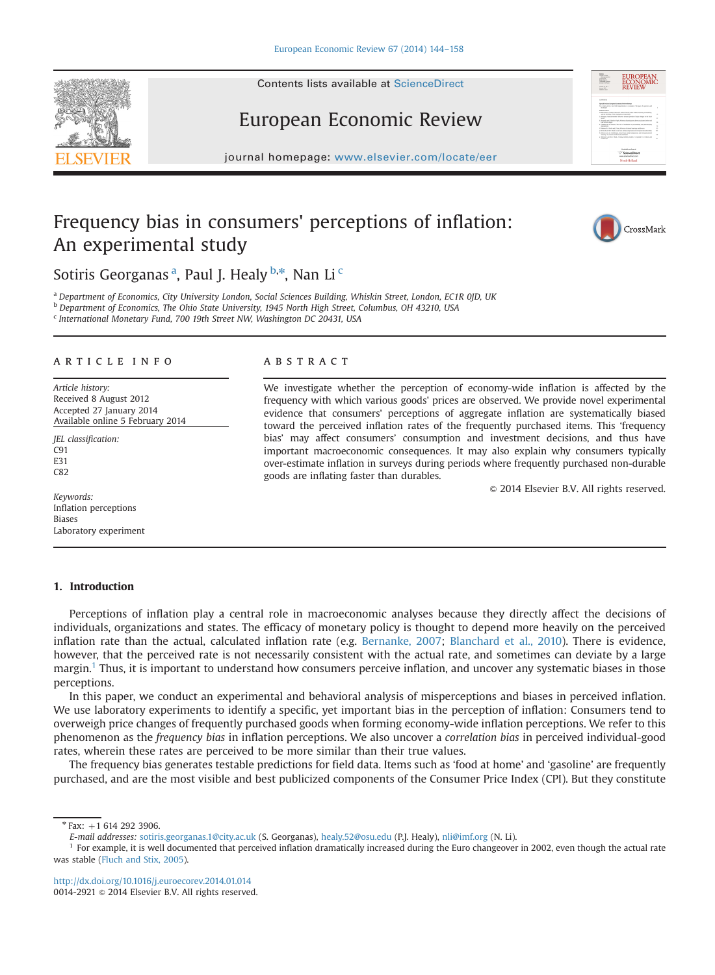



journal homepage: <www.elsevier.com/locate/eer>

# Frequency bias in consumers' perceptions of inflation: An experimental study



Sotiris Georganas <sup>a</sup>, Paul J. Healy <sup>b,\*</sup>, Nan Li <sup>c</sup>

a Department of Economics, City University London, Social Sciences Building, Whiskin Street, London, EC1R 0JD, UK

<sup>b</sup> Department of Economics, The Ohio State University, 1945 North High Street, Columbus, OH 43210, USA

<sup>c</sup> International Monetary Fund, 700 19th Street NW, Washington DC 20431, USA

# article info

Article history: Received 8 August 2012 Accepted 27 January 2014 Available online 5 February 2014

JEL classification: C91 E31 C82

Keywords: Inflation perceptions Biases Laboratory experiment

# **ABSTRACT**

We investigate whether the perception of economy-wide inflation is affected by the frequency with which various goods' prices are observed. We provide novel experimental evidence that consumers' perceptions of aggregate inflation are systematically biased toward the perceived inflation rates of the frequently purchased items. This 'frequency bias' may affect consumers' consumption and investment decisions, and thus have important macroeconomic consequences. It may also explain why consumers typically over-estimate inflation in surveys during periods where frequently purchased non-durable goods are inflating faster than durables.

 $\odot$  2014 Elsevier B.V. All rights reserved.

# 1. Introduction

Perceptions of inflation play a central role in macroeconomic analyses because they directly affect the decisions of individuals, organizations and states. The efficacy of monetary policy is thought to depend more heavily on the perceived inflation rate than the actual, calculated inflation rate (e.g. [Bernanke, 2007](#page-13-0); [Blanchard et al., 2010\)](#page-13-0). There is evidence, however, that the perceived rate is not necessarily consistent with the actual rate, and sometimes can deviate by a large margin.<sup>1</sup> Thus, it is important to understand how consumers perceive inflation, and uncover any systematic biases in those perceptions.

In this paper, we conduct an experimental and behavioral analysis of misperceptions and biases in perceived inflation. We use laboratory experiments to identify a specific, yet important bias in the perception of inflation: Consumers tend to overweigh price changes of frequently purchased goods when forming economy-wide inflation perceptions. We refer to this phenomenon as the frequency bias in inflation perceptions. We also uncover a correlation bias in perceived individual-good rates, wherein these rates are perceived to be more similar than their true values.

The frequency bias generates testable predictions for field data. Items such as 'food at home' and 'gasoline' are frequently purchased, and are the most visible and best publicized components of the Consumer Price Index (CPI). But they constitute

 $*$  Fax:  $+1$  614 292 3906.

E-mail addresses: [sotiris.georganas.1@city.ac.uk](mailto:sotiris.georganas.1@city.ac.uk) (S. Georganas), [healy.52@osu.edu](mailto:healy.52@osu.edu) (P.J. Healy), [nli@imf.org](mailto:nli@imf.org) (N. Li).

 $<sup>1</sup>$  For example, it is well documented that perceived inflation dramatically increased during the Euro changeover in 2002, even though the actual rate</sup> was stable [\(Fluch and Stix, 2005\)](#page-13-0).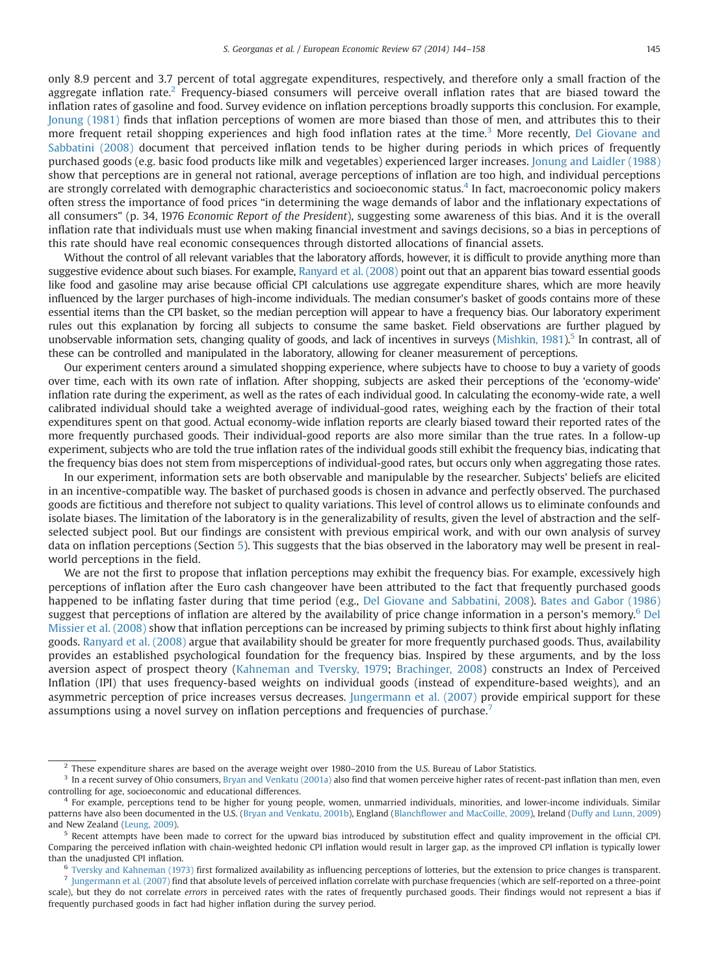only 8.9 percent and 3.7 percent of total aggregate expenditures, respectively, and therefore only a small fraction of the aggregate inflation rate.<sup>2</sup> Frequency-biased consumers will perceive overall inflation rates that are biased toward the inflation rates of gasoline and food. Survey evidence on inflation perceptions broadly supports this conclusion. For example, [Jonung \(1981\)](#page-13-0) finds that inflation perceptions of women are more biased than those of men, and attributes this to their more frequent retail shopping experiences and high food inflation rates at the time.<sup>3</sup> More recently, [Del Giovane and](#page-13-0) [Sabbatini \(2008\)](#page-13-0) document that perceived inflation tends to be higher during periods in which prices of frequently purchased goods (e.g. basic food products like milk and vegetables) experienced larger increases. [Jonung and Laidler \(1988\)](#page-13-0) show that perceptions are in general not rational, average perceptions of inflation are too high, and individual perceptions are strongly correlated with demographic characteristics and socioeconomic status.<sup>4</sup> In fact, macroeconomic policy makers often stress the importance of food prices "in determining the wage demands of labor and the inflationary expectations of all consumers" (p. 34, 1976 Economic Report of the President), suggesting some awareness of this bias. And it is the overall inflation rate that individuals must use when making financial investment and savings decisions, so a bias in perceptions of this rate should have real economic consequences through distorted allocations of financial assets.

Without the control of all relevant variables that the laboratory affords, however, it is difficult to provide anything more than suggestive evidence about such biases. For example, [Ranyard et al. \(2008\)](#page-14-0) point out that an apparent bias toward essential goods like food and gasoline may arise because official CPI calculations use aggregate expenditure shares, which are more heavily influenced by the larger purchases of high-income individuals. The median consumer's basket of goods contains more of these essential items than the CPI basket, so the median perception will appear to have a frequency bias. Our laboratory experiment rules out this explanation by forcing all subjects to consume the same basket. Field observations are further plagued by unobservable information sets, changing quality of goods, and lack of incentives in surveys [\(Mishkin, 1981\)](#page-14-0).<sup>5</sup> In contrast, all of these can be controlled and manipulated in the laboratory, allowing for cleaner measurement of perceptions.

Our experiment centers around a simulated shopping experience, where subjects have to choose to buy a variety of goods over time, each with its own rate of inflation. After shopping, subjects are asked their perceptions of the 'economy-wide' inflation rate during the experiment, as well as the rates of each individual good. In calculating the economy-wide rate, a well calibrated individual should take a weighted average of individual-good rates, weighing each by the fraction of their total expenditures spent on that good. Actual economy-wide inflation reports are clearly biased toward their reported rates of the more frequently purchased goods. Their individual-good reports are also more similar than the true rates. In a follow-up experiment, subjects who are told the true inflation rates of the individual goods still exhibit the frequency bias, indicating that the frequency bias does not stem from misperceptions of individual-good rates, but occurs only when aggregating those rates.

In our experiment, information sets are both observable and manipulable by the researcher. Subjects' beliefs are elicited in an incentive-compatible way. The basket of purchased goods is chosen in advance and perfectly observed. The purchased goods are fictitious and therefore not subject to quality variations. This level of control allows us to eliminate confounds and isolate biases. The limitation of the laboratory is in the generalizability of results, given the level of abstraction and the selfselected subject pool. But our findings are consistent with previous empirical work, and with our own analysis of survey data on inflation perceptions (Section [5\)](#page-12-0). This suggests that the bias observed in the laboratory may well be present in realworld perceptions in the field.

We are not the first to propose that inflation perceptions may exhibit the frequency bias. For example, excessively high perceptions of inflation after the Euro cash changeover have been attributed to the fact that frequently purchased goods happened to be inflating faster during that time period (e.g., [Del Giovane and Sabbatini, 2008\)](#page-13-0). [Bates and Gabor \(1986\)](#page-13-0) suggest that perceptions of inflation are altered by the availability of price change information in a person's memory.<sup>6</sup> [Del](#page-13-0) [Missier et al. \(2008\)](#page-13-0) show that inflation perceptions can be increased by priming subjects to think first about highly inflating goods. [Ranyard et al. \(2008\)](#page-14-0) argue that availability should be greater for more frequently purchased goods. Thus, availability provides an established psychological foundation for the frequency bias. Inspired by these arguments, and by the loss aversion aspect of prospect theory [\(Kahneman and Tversky, 1979](#page-14-0); [Brachinger, 2008\)](#page-13-0) constructs an Index of Perceived Inflation (IPI) that uses frequency-based weights on individual goods (instead of expenditure-based weights), and an asymmetric perception of price increases versus decreases. [Jungermann et al. \(2007\)](#page-13-0) provide empirical support for these assumptions using a novel survey on inflation perceptions and frequencies of purchase.<sup>7</sup>

<sup>&</sup>lt;sup>2</sup> These expenditure shares are based on the average weight over 1980–2010 from the U.S. Bureau of Labor Statistics.

<sup>&</sup>lt;sup>3</sup> In a recent survey of Ohio consumers, [Bryan and Venkatu \(2001a\)](#page-13-0) also find that women perceive higher rates of recent-past inflation than men, even controlling for age, socioeconomic and educational differences.

<sup>&</sup>lt;sup>4</sup> For example, perceptions tend to be higher for young people, women, unmarried individuals, minorities, and lower-income individuals. Similar patterns have also been documented in the U.S. [\(Bryan and Venkatu, 2001b\)](#page-13-0), England [\(Blanchflower and MacCoille, 2009\)](#page-13-0), Ireland [\(Duffy and Lunn, 2009\)](#page-13-0) and New Zealand ([Leung, 2009](#page-14-0)).

<sup>5</sup> Recent attempts have been made to correct for the upward bias introduced by substitution effect and quality improvement in the official CPI. Comparing the perceived inflation with chain-weighted hedonic CPI inflation would result in larger gap, as the improved CPI inflation is typically lower than the unadjusted CPI inflation.

 $6$  [Tversky and Kahneman \(1973\)](#page-14-0) first formalized availability as influencing perceptions of lotteries, but the extension to price changes is transparent.

<sup>7</sup> [Jungermann et al. \(2007\)](#page-13-0) find that absolute levels of perceived inflation correlate with purchase frequencies (which are self-reported on a three-point scale), but they do not correlate errors in perceived rates with the rates of frequently purchased goods. Their findings would not represent a bias if frequently purchased goods in fact had higher inflation during the survey period.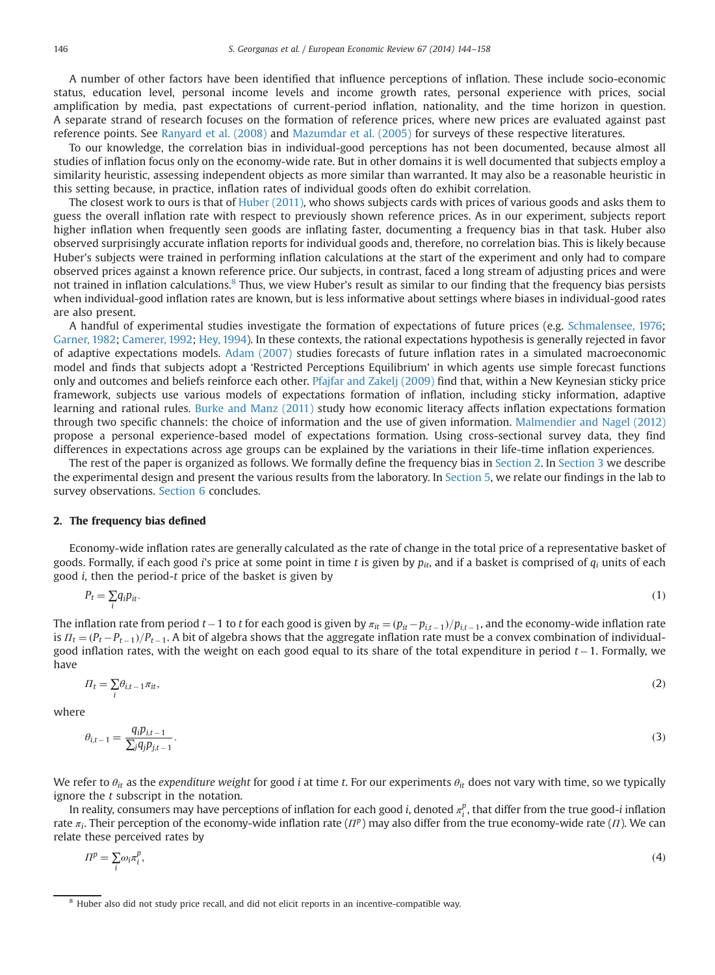<span id="page-2-0"></span>A number of other factors have been identified that influence perceptions of inflation. These include socio-economic status, education level, personal income levels and income growth rates, personal experience with prices, social amplification by media, past expectations of current-period inflation, nationality, and the time horizon in question. A separate strand of research focuses on the formation of reference prices, where new prices are evaluated against past reference points. See [Ranyard et al. \(2008\)](#page-14-0) and [Mazumdar et al. \(2005\)](#page-14-0) for surveys of these respective literatures.

To our knowledge, the correlation bias in individual-good perceptions has not been documented, because almost all studies of inflation focus only on the economy-wide rate. But in other domains it is well documented that subjects employ a similarity heuristic, assessing independent objects as more similar than warranted. It may also be a reasonable heuristic in this setting because, in practice, inflation rates of individual goods often do exhibit correlation.

The closest work to ours is that of [Huber \(2011\)](#page-13-0), who shows subjects cards with prices of various goods and asks them to guess the overall inflation rate with respect to previously shown reference prices. As in our experiment, subjects report higher inflation when frequently seen goods are inflating faster, documenting a frequency bias in that task. Huber also observed surprisingly accurate inflation reports for individual goods and, therefore, no correlation bias. This is likely because Huber's subjects were trained in performing inflation calculations at the start of the experiment and only had to compare observed prices against a known reference price. Our subjects, in contrast, faced a long stream of adjusting prices and were not trained in inflation calculations.<sup>8</sup> Thus, we view Huber's result as similar to our finding that the frequency bias persists when individual-good inflation rates are known, but is less informative about settings where biases in individual-good rates are also present.

A handful of experimental studies investigate the formation of expectations of future prices (e.g. [Schmalensee, 1976](#page-14-0); [Garner, 1982](#page-13-0); [Camerer, 1992;](#page-13-0) [Hey, 1994\)](#page-13-0). In these contexts, the rational expectations hypothesis is generally rejected in favor of adaptive expectations models. [Adam \(2007\)](#page-13-0) studies forecasts of future inflation rates in a simulated macroeconomic model and finds that subjects adopt a 'Restricted Perceptions Equilibrium' in which agents use simple forecast functions only and outcomes and beliefs reinforce each other. [Pfajfar and Zakelj \(2009\)](#page-14-0) find that, within a New Keynesian sticky price framework, subjects use various models of expectations formation of inflation, including sticky information, adaptive learning and rational rules. [Burke and Manz \(2011\)](#page-13-0) study how economic literacy affects inflation expectations formation through two specific channels: the choice of information and the use of given information. [Malmendier and Nagel \(2012\)](#page-14-0) propose a personal experience-based model of expectations formation. Using cross-sectional survey data, they find differences in expectations across age groups can be explained by the variations in their life-time inflation experiences.

The rest of the paper is organized as follows. We formally define the frequency bias in Section 2. In [Section 3](#page-3-0) we describe the experimental design and present the various results from the laboratory. In [Section 5,](#page-12-0) we relate our findings in the lab to survey observations. [Section 6](#page-13-0) concludes.

#### 2. The frequency bias defined

Economy-wide inflation rates are generally calculated as the rate of change in the total price of a representative basket of goods. Formally, if each good i's price at some point in time t is given by  $p_{in}$ , and if a basket is comprised of  $q_i$  units of each good i, then the period-t price of the basket is given by

$$
P_t = \sum_i q_i p_{it}.\tag{1}
$$

The inflation rate from period  $t-1$  to t for each good is given by  $\pi_{it} = (p_{it} - p_{i,t-1})/p_{i,t-1}$ , and the economy-wide inflation rate<br>is  $U_t = (p_t - p_{i,t-1})/p_{i,t-1}$ . A bit of algebra shows that the aggregate inflation rate is  $\Pi_t = (P_t - P_{t-1})/P_{t-1}$ . A bit of algebra shows that the aggregate inflation rate must be a convex combination of individual-<br>good inflation rates, with the weight on each good equal to its share of the total expenditu good inflation rates, with the weight on each good equal to its share of the total expenditure in period  $t-1$ . Formally, we<br>have have

$$
\Pi_t = \sum_i \theta_{i,t-1} \pi_{it},\tag{2}
$$

where

$$
\theta_{i,t-1} = \frac{q_i p_{i,t-1}}{\sum_j q_j p_{j,t-1}}.\tag{3}
$$

We refer to  $\theta_{it}$  as the expenditure weight for good i at time t. For our experiments  $\theta_{it}$  does not vary with time, so we typically ignore the t subscript in the notation.

In reality, consumers may have perceptions of inflation for each good i, denoted  $\pi^p_i$ , that differ from the true good-i inflation rate  $\pi_i$ . Their perception of the economy-wide inflation rate  $(\Pi^p)$  may also differ from the true economy-wide rate (Π). We can relate these perceived rates by

$$
\Pi^p = \sum_i \omega_i \pi_i^p,\tag{4}
$$

$$
^{(4)}
$$

 $8$  Huber also did not study price recall, and did not elicit reports in an incentive-compatible way.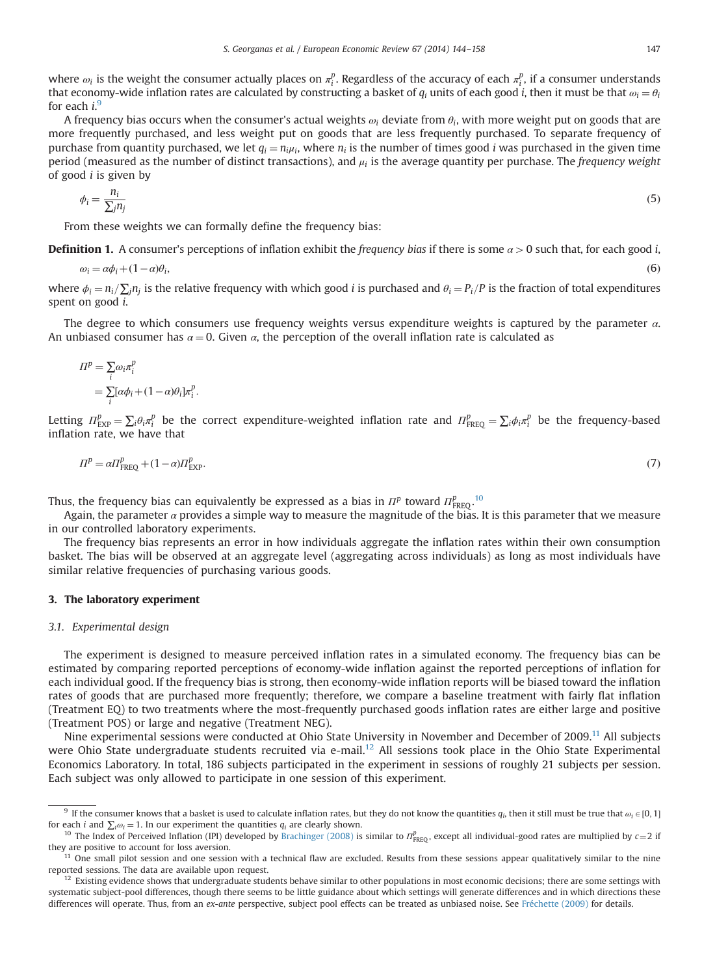<span id="page-3-0"></span>where  $\omega_i$  is the weight the consumer actually places on  $\pi^p_i$ . Regardless of the accuracy of each  $\pi^p_i$ , if a consumer understands that economy-wide inflation rates are calculated by constructing a basket of  $q_i$  units of each good i, then it must be that  $\omega_i = \theta_i$ for each  $i.9$ 

A frequency bias occurs when the consumer's actual weights  $\omega_i$  deviate from  $\theta_i$ , with more weight put on goods that are more frequently purchased, and less weight put on goods that are less frequently purchased. To separate frequency of purchase from quantity purchased, we let  $q_i = n_i \mu_i$ , where  $n_i$  is the number of times good *i* was purchased in the given time period (measured as the number of distinct transactions), and  $\mu_i$  is the average quantity per purchase. The *frequency weight* of good  $i$  is given by

$$
\phi_i = \frac{n_i}{\sum_j n_j} \tag{5}
$$

From these weights we can formally define the frequency bias:

**Definition 1.** A consumer's perceptions of inflation exhibit the frequency bias if there is some  $\alpha > 0$  such that, for each good i,

$$
\omega_i = \alpha \phi_i + (1 - \alpha)\theta_i,\tag{6}
$$

where  $\phi_i = n_i / \sum_i n_i$  is the relative frequency with which good *i* is purchased and  $\theta_i = P_i / P$  is the fraction of total expenditures spent on good i.

The degree to which consumers use frequency weights versus expenditure weights is captured by the parameter  $\alpha$ . An unbiased consumer has  $\alpha = 0$ . Given  $\alpha$ , the perception of the overall inflation rate is calculated as

$$
\Pi^{p} = \sum_{i} \omega_{i} \pi_{i}^{p}
$$
  
= 
$$
\sum_{i} [\alpha \phi_{i} + (1 - \alpha)\theta_{i}] \pi_{i}^{p}.
$$

Letting  $\Pi_{\text{EXP}}^p = \sum_i \theta_i \pi_i^p$  be the correct expenditure-weighted inflation rate and  $\Pi_{\text{FREQ}}^p = \sum_i \phi_i \pi_i^p$  be the frequency-based inflation rate we have that inflation rate, we have that

$$
\Pi^p = \alpha \Pi_{\text{FREG}}^p + (1 - \alpha) \Pi_{\text{EXP}}^p. \tag{7}
$$

Thus, the frequency bias can equivalently be expressed as a bias in  $\Pi^p$  toward  $\Pi^p_{\texttt{FREG}}$ .<sup>10</sup>

Again, the parameter  $\alpha$  provides a simple way to measure the magnitude of the bias. It is this parameter that we measure in our controlled laboratory experiments.

The frequency bias represents an error in how individuals aggregate the inflation rates within their own consumption basket. The bias will be observed at an aggregate level (aggregating across individuals) as long as most individuals have similar relative frequencies of purchasing various goods.

#### 3. The laboratory experiment

# 3.1. Experimental design

The experiment is designed to measure perceived inflation rates in a simulated economy. The frequency bias can be estimated by comparing reported perceptions of economy-wide inflation against the reported perceptions of inflation for each individual good. If the frequency bias is strong, then economy-wide inflation reports will be biased toward the inflation rates of goods that are purchased more frequently; therefore, we compare a baseline treatment with fairly flat inflation (Treatment EQ) to two treatments where the most-frequently purchased goods inflation rates are either large and positive (Treatment POS) or large and negative (Treatment NEG).

Nine experimental sessions were conducted at Ohio State University in November and December of 2009.<sup>11</sup> All subjects were Ohio State undergraduate students recruited via e-mail.<sup>12</sup> All sessions took place in the Ohio State Experimental Economics Laboratory. In total, 186 subjects participated in the experiment in sessions of roughly 21 subjects per session. Each subject was only allowed to participate in one session of this experiment.

<sup>&</sup>lt;sup>9</sup> If the consumer knows that a basket is used to calculate inflation rates, but they do not know the quantities  $q_i$ , then it still must be true that  $\omega_i \in [0, 1]$  for each *i* and  $\sum_i \omega_i = 1$ . In our experiment the qua

for each *i* and  $\sum_i \omega_i = 1$ . In our experiment the quantities  $q_i$  are clearly shown.<br><sup>10</sup> The Index of Perceived Inflation (IPI) developed by [Brachinger \(2008\)](#page-13-0) is similar to  $\pi_{\text{FREQ}}^p$ , except all individual-good ra they are positive to account for loss aversion.

<sup>11</sup> One small pilot session and one session with a technical flaw are excluded. Results from these sessions appear qualitatively similar to the nine reported sessions. The data are available upon request.

<sup>&</sup>lt;sup>12</sup> Existing evidence shows that undergraduate students behave similar to other populations in most economic decisions; there are some settings with systematic subject-pool differences, though there seems to be little guidance about which settings will generate differences and in which directions these differences will operate. Thus, from an ex-ante perspective, subject pool effects can be treated as unbiased noise. See [Fréchette \(2009\)](#page-13-0) for details.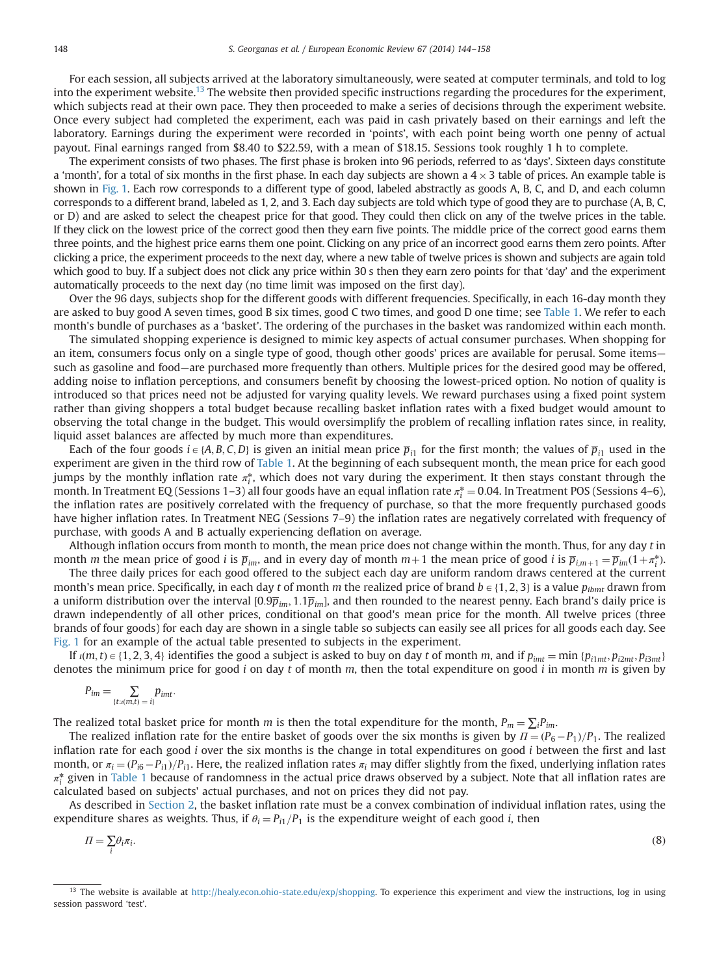For each session, all subjects arrived at the laboratory simultaneously, were seated at computer terminals, and told to log into the experiment website.13 The website then provided specific instructions regarding the procedures for the experiment, which subjects read at their own pace. They then proceeded to make a series of decisions through the experiment website. Once every subject had completed the experiment, each was paid in cash privately based on their earnings and left the laboratory. Earnings during the experiment were recorded in 'points', with each point being worth one penny of actual payout. Final earnings ranged from \$8.40 to \$22.59, with a mean of \$18.15. Sessions took roughly 1 h to complete.

The experiment consists of two phases. The first phase is broken into 96 periods, referred to as 'days'. Sixteen days constitute a 'month', for a total of six months in the first phase. In each day subjects are shown a  $4 \times 3$  table of prices. An example table is shown in [Fig. 1.](#page-5-0) Each row corresponds to a different type of good, labeled abstractly as goods A, B, C, and D, and each column corresponds to a different brand, labeled as 1, 2, and 3. Each day subjects are told which type of good they are to purchase (A, B, C, or D) and are asked to select the cheapest price for that good. They could then click on any of the twelve prices in the table. If they click on the lowest price of the correct good then they earn five points. The middle price of the correct good earns them three points, and the highest price earns them one point. Clicking on any price of an incorrect good earns them zero points. After clicking a price, the experiment proceeds to the next day, where a new table of twelve prices is shown and subjects are again told which good to buy. If a subject does not click any price within 30 s then they earn zero points for that 'day' and the experiment automatically proceeds to the next day (no time limit was imposed on the first day).

Over the 96 days, subjects shop for the different goods with different frequencies. Specifically, in each 16-day month they are asked to buy good A seven times, good B six times, good C two times, and good D one time; see [Table 1](#page-5-0). We refer to each month's bundle of purchases as a 'basket'. The ordering of the purchases in the basket was randomized within each month.

The simulated shopping experience is designed to mimic key aspects of actual consumer purchases. When shopping for an item, consumers focus only on a single type of good, though other goods' prices are available for perusal. Some items such as gasoline and food—are purchased more frequently than others. Multiple prices for the desired good may be offered, adding noise to inflation perceptions, and consumers benefit by choosing the lowest-priced option. No notion of quality is introduced so that prices need not be adjusted for varying quality levels. We reward purchases using a fixed point system rather than giving shoppers a total budget because recalling basket inflation rates with a fixed budget would amount to observing the total change in the budget. This would oversimplify the problem of recalling inflation rates since, in reality, liquid asset balances are affected by much more than expenditures.

Each of the four goods  $i \in \{A, B, C, D\}$  is given an initial mean price  $\overline{p}_{i1}$  for the first month; the values of  $\overline{p}_{i1}$  used in the experiment are given in the third row of [Table 1.](#page-5-0) At the beginning of each subsequent month, the mean price for each good jumps by the monthly inflation rate  $\pi_i^*$ , which does not vary during the experiment. It then stays constant through the month. In Treatment EQ (Sessions 1–3) all four goods have an equal inflation rate  $\pi_i^* = 0.04$ . In Treatment POS (Sessions 4–6), the inflation rates are positively correlated with the frequency of purchase so that the mo the inflation rates are positively correlated with the frequency of purchase, so that the more frequently purchased goods have higher inflation rates. In Treatment NEG (Sessions 7–9) the inflation rates are negatively correlated with frequency of purchase, with goods A and B actually experiencing deflation on average.

Although inflation occurs from month to month, the mean price does not change within the month. Thus, for any day  $t$  in month *m* the mean price of good *i* is  $\overline{p}_{im}$ , and in every day of month  $m+1$  the mean price of good *i* is  $\overline{p}_{im+1} = \overline{p}_{im}(1+\pi^*)$ .<br>The three daily prices for each good offered to the subject each day are unifor

The three daily prices for each good offered to the subject each day are uniform random draws centered at the current month's mean price. Specifically, in each day t of month m the realized price of brand  $b \in \{1, 2, 3\}$  is a value  $p_{\text{ihmt}}$  drawn from a uniform distribution over the interval  $[0.9\overline{p}_{im}, 1.1\overline{p}_{im}]$ , and then rounded to the nearest penny. Each brand's daily price is drawn independently of all other prices, conditional on that good's mean price for the month. All twelve prices (three brands of four goods) for each day are shown in a single table so subjects can easily see all prices for all goods each day. See [Fig. 1](#page-5-0) for an example of the actual table presented to subjects in the experiment.

If  $u(m, t) \in \{1, 2, 3, 4\}$  identifies the good a subject is asked to buy on day t of month m, and if  $p_{imt} = \min \{p_{i1mt}, p_{i2mt}, p_{i3mt}\}$ denotes the minimum price for good i on day t of month m, then the total expenditure on good i in month m is given by

$$
P_{im} = \sum_{\{t: i(m,t) = i\}} p_{imt}.
$$

The realized total basket price for month m is then the total expenditure for the month,  $P_m = \sum_i P_{im}$ .

The realized inflation rate for the entire basket of goods over the six months is given by  $\Pi = (P_6 - P_1)/P_1$ . The realized<br>ation rate for each good i over the six months is the change in total expenditures on good i betwe inflation rate for each good i over the six months is the change in total expenditures on good i between the first and last month, or  $\pi_i = (P_{i6} - P_{i1})/P_{i1}$ . Here, the realized inflation rates  $\pi_i$  may differ slightly from the fixed, underlying inflation rates  $\pi^*$  given in Table 1 because of randomness in the actual price draws observed  $\pi_i^*$  given in [Table 1](#page-5-0) because of randomness in the actual price draws observed by a subject. Note that all inflation rates are calculated based on subjects' actual purchases, and not on prices they did not pay.

As described in [Section 2,](#page-2-0) the basket inflation rate must be a convex combination of individual inflation rates, using the expenditure shares as weights. Thus, if  $\theta_i = P_{i1}/P_1$  is the expenditure weight of each good *i*, then

$$
\Pi = \sum_{i} \theta_{i} \pi_{i}.\tag{8}
$$

<sup>&</sup>lt;sup>13</sup> The website is available at [http://healy.econ.ohio-state.edu/exp/shopping.](http://healy.econ.ohio-state.edu/exp/shopping) To experience this experiment and view the instructions, log in using session password 'test'.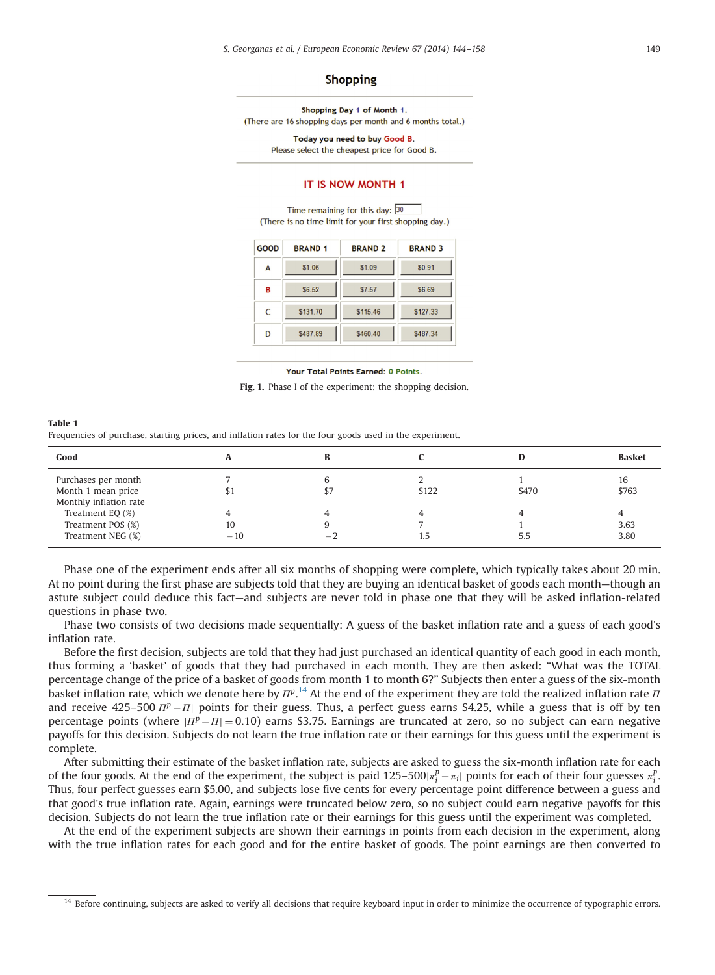### **Shopping**

<span id="page-5-0"></span>Shopping Day 1 of Month 1. (There are 16 shopping days per month and 6 months total.)

> Today you need to buy Good B. Please select the cheapest price for Good B.

#### IT IS NOW MONTH 1

Time remaining for this day:  $\sqrt{30}$ (There is no time limit for your first shopping day.)

| <b>GOOD</b> | <b>BRAND 1</b> | <b>BRAND 2</b> | <b>BRAND 3</b> |
|-------------|----------------|----------------|----------------|
| A           | \$1.06         | \$1.09         | \$0.91         |
| в           | S6.52          | \$7.57         | \$6.69         |
| C           | \$131.70       | \$115.46       | \$127.33       |
| D           | \$487.89       | \$460.40       | \$487.34       |

#### Your Total Points Earned: 0 Points.

Fig. 1. Phase I of the experiment: the shopping decision.

| Table 1                                                                                                  |  |  |
|----------------------------------------------------------------------------------------------------------|--|--|
| Frequencies of purchase, starting prices, and inflation rates for the four goods used in the experiment. |  |  |

| Good                                                                                 |             |      |       |       | <b>Basket</b> |
|--------------------------------------------------------------------------------------|-------------|------|-------|-------|---------------|
| Purchases per month<br>Month 1 mean price                                            | \$1         | \$7  | \$122 | \$470 | 16<br>\$763   |
| Monthly inflation rate<br>Treatment EQ (%)<br>Treatment POS (%)<br>Treatment NEG (%) | 10<br>$-10$ | $-4$ | L.5   | 5.5   | 3.63<br>3.80  |

Phase one of the experiment ends after all six months of shopping were complete, which typically takes about 20 min. At no point during the first phase are subjects told that they are buying an identical basket of goods each month—though an astute subject could deduce this fact—and subjects are never told in phase one that they will be asked inflation-related questions in phase two.

Phase two consists of two decisions made sequentially: A guess of the basket inflation rate and a guess of each good's inflation rate.

Before the first decision, subjects are told that they had just purchased an identical quantity of each good in each month, thus forming a 'basket' of goods that they had purchased in each month. They are then asked: "What was the TOTAL percentage change of the price of a basket of goods from month 1 to month 6?" Subjects then enter a guess of the six-month basket inflation rate, which we denote here by  $\varPi^{p}$ .<sup>14</sup> At the end of the experiment they are told the realized inflation rate  $\varPi$ and receive  $425-500|H^p - H|$  points for their guess. Thus, a perfect guess earns \$4.25, while a guess that is off by ten<br>percentage points (where  $|H^p - H| = 0.10$ ) earns \$3.75. Earnings are truncated at zero, so no subject percentage points (where  $|I^p - I| = 0.10$ ) earns \$3.75. Earnings are truncated at zero, so no subject can earn negative<br>payoffs for this decision. Subjects do not learn the true inflation rate or their earnings for this gu payoffs for this decision. Subjects do not learn the true inflation rate or their earnings for this guess until the experiment is complete.

After submitting their estimate of the basket inflation rate, subjects are asked to guess the six-month inflation rate for each of the four goods. At the end of the experiment, the subject is paid 125–500 $|\pi_i^p - \pi_i|$  points for each of their four guesses  $\pi_i^p$ .<br>Thus four perfect guesses earn \$5.00, and subjects lose five cents for every percenta Thus, four perfect guesses earn \$5.00, and subjects lose five cents for every percentage point difference between a guess and  $\frac{1}{2}$ . that good's true inflation rate. Again, earnings were truncated below zero, so no subject could earn negative payoffs for this decision. Subjects do not learn the true inflation rate or their earnings for this guess until the experiment was completed.

At the end of the experiment subjects are shown their earnings in points from each decision in the experiment, along with the true inflation rates for each good and for the entire basket of goods. The point earnings are then converted to

<sup>&</sup>lt;sup>14</sup> Before continuing, subjects are asked to verify all decisions that require keyboard input in order to minimize the occurrence of typographic errors.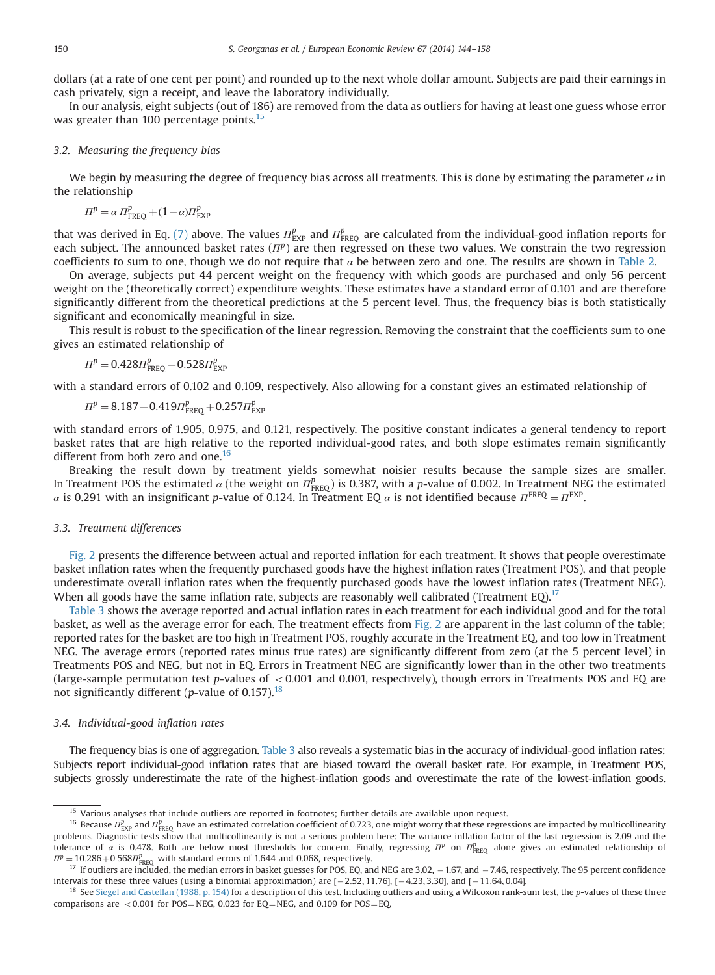dollars (at a rate of one cent per point) and rounded up to the next whole dollar amount. Subjects are paid their earnings in cash privately, sign a receipt, and leave the laboratory individually.

In our analysis, eight subjects (out of 186) are removed from the data as outliers for having at least one guess whose error was greater than 100 percentage points.<sup>15</sup>

# 3.2. Measuring the frequency bias

We begin by measuring the degree of frequency bias across all treatments. This is done by estimating the parameter  $\alpha$  in the relationship

$$
\Pi^p = \alpha \, \Pi_{\text{FREQ}}^p + (1 - \alpha) \Pi_{\text{EXP}}^p
$$

that was derived in Eq. [\(7\)](#page-3-0) above. The values  $\varPi_{\rm EXP}^p$  and  $\varPi_{\rm FREQ}^p$  are calculated from the individual-good inflation reports for each subject. The announced basket rates  $(\Pi^p)$  are then regressed on these two values. We constrain the two regression coefficients to sum to one, though we do not require that  $\alpha$  be between zero and one. The results are shown in [Table 2.](#page-7-0)

On average, subjects put 44 percent weight on the frequency with which goods are purchased and only 56 percent weight on the (theoretically correct) expenditure weights. These estimates have a standard error of 0.101 and are therefore significantly different from the theoretical predictions at the 5 percent level. Thus, the frequency bias is both statistically significant and economically meaningful in size.

This result is robust to the specification of the linear regression. Removing the constraint that the coefficients sum to one gives an estimated relationship of

$$
\Pi^p = 0.428 \Pi_{\text{FREQ}}^p + 0.528 \Pi_{\text{EXP}}^p
$$

with a standard errors of 0.102 and 0.109, respectively. Also allowing for a constant gives an estimated relationship of

$$
\Pi^p = 8.187 + 0.419 \Pi_{\text{FREG}}^p + 0.257 \Pi_{\text{EXP}}^p
$$

with standard errors of 1.905, 0.975, and 0.121, respectively. The positive constant indicates a general tendency to report basket rates that are high relative to the reported individual-good rates, and both slope estimates remain significantly different from both zero and one.<sup>16</sup>

Breaking the result down by treatment yields somewhat noisier results because the sample sizes are smaller. In Treatment POS the estimated  $\alpha$  (the weight on  $\Pi_{\rm FREG}^p$ ) is 0.387, with a p-value of 0.002. In Treatment NEG the estimated α is 0.291 with an insignificant p-value of 0.124. In Treatment EQ α is not identified because  $\Pi^{\text{FREQ}} = \Pi^{\text{EXP}}$ .

#### 3.3. Treatment differences

[Fig. 2](#page-7-0) presents the difference between actual and reported inflation for each treatment. It shows that people overestimate basket inflation rates when the frequently purchased goods have the highest inflation rates (Treatment POS), and that people underestimate overall inflation rates when the frequently purchased goods have the lowest inflation rates (Treatment NEG). When all goods have the same inflation rate, subjects are reasonably well calibrated (Treatment EQ).<sup>17</sup>

[Table 3](#page-7-0) shows the average reported and actual inflation rates in each treatment for each individual good and for the total basket, as well as the average error for each. The treatment effects from [Fig. 2](#page-7-0) are apparent in the last column of the table; reported rates for the basket are too high in Treatment POS, roughly accurate in the Treatment EQ, and too low in Treatment NEG. The average errors (reported rates minus true rates) are significantly different from zero (at the 5 percent level) in Treatments POS and NEG, but not in EQ. Errors in Treatment NEG are significantly lower than in the other two treatments (large-sample permutation test p-values of  $< 0.001$  and 0.001, respectively), though errors in Treatments POS and EQ are not significantly different (p-value of 0.157).<sup>18</sup>

#### 3.4. Individual-good inflation rates

The frequency bias is one of aggregation. [Table 3](#page-7-0) also reveals a systematic bias in the accuracy of individual-good inflation rates: Subjects report individual-good inflation rates that are biased toward the overall basket rate. For example, in Treatment POS, subjects grossly underestimate the rate of the highest-inflation goods and overestimate the rate of the lowest-inflation goods.

 $\frac{15}{15}$  Various analyses that include outliers are reported in footnotes; further details are available upon request.

<sup>&</sup>lt;sup>16</sup> Because  $\Pi_{\rm EXP}^p$  and  $\Pi_{\rm FREQ}^p$  have an estimated correlation coefficient of 0.723, one might worry that these regressions are impacted by multicollinearity problems. Diagnostic tests show that multicollinearity is not a serious problem here: The variance inflation factor of the last regression is 2.09 and the tolerance of  $\alpha$  is 0.478. Both are below most thresholds for concern. Finally, regressing  $\Pi^p$  on  $\Pi^p_{\text{FREQ}}$  alone gives an estimated relationship of  $\Pi^p = 10.286 + 0.568 \Pi_{\text{FREO}}^p$  with standard errors of 1.644 and 0.068, respectively.

<sup>= 10.286 + 0.568</sup> $\eta_{\rm REO}^p$  with standard errors of 1.644 and 0.068, respectively.<br><sup>17</sup> If outliers are included, the median errors in basket guesses for POS, EQ, and NEG are 3.02, -1.67, and -7.46, respectively. The 95 intervals for these three values (using a binomial approximation) are  $[-2.52, 11.76]$ ,  $[-4.23, 3.30]$ , and  $[-18, 29]$  and  $[3.20]$  and  $[3.20]$  and  $[3.20]$  and  $[3.20]$  and  $[3.20]$  and  $[3.20]$  and  $[3.20]$  and  $[3.20]$ 

<sup>&</sup>lt;sup>18</sup> See [Siegel and Castellan \(1988, p. 154\)](#page-14-0) for a description of this test. Including outliers and using a Wilcoxon rank-sum test, the p-values of these three comparisons are  $<$  0.001 for POS=NEG, 0.023 for EQ=NEG, and 0.109 for POS=EQ.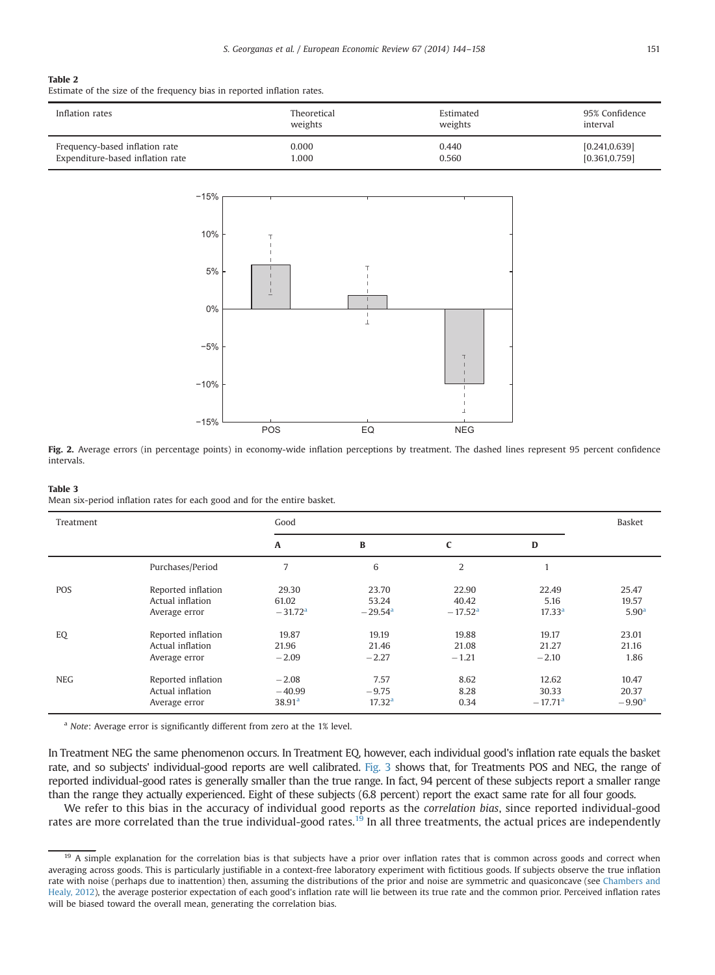# <span id="page-7-0"></span>Table 2

Estimate of the size of the frequency bias in reported inflation rates.



Fig. 2. Average errors (in percentage points) in economy-wide inflation perceptions by treatment. The dashed lines represent 95 percent confidence intervals.

#### Table 3

Mean six-period inflation rates for each good and for the entire basket.

| Treatment  |                    | Good                  |                       |                       |                    | Basket            |
|------------|--------------------|-----------------------|-----------------------|-----------------------|--------------------|-------------------|
|            |                    | $\mathbf{A}$          | B                     | C                     | D                  |                   |
|            | Purchases/Period   | 7                     | 6                     | $\overline{2}$        |                    |                   |
| <b>POS</b> | Reported inflation | 29.30                 | 23.70                 | 22.90                 | 22.49              | 25.47             |
|            | Actual inflation   | 61.02                 | 53.24                 | 40.42                 | 5.16               | 19.57             |
|            | Average error      | $-31.72$ <sup>a</sup> | $-29.54$ <sup>a</sup> | $-17.52$ <sup>a</sup> | 17.33 <sup>a</sup> | 5.90 <sup>a</sup> |
| EQ         | Reported inflation | 19.87                 | 19.19                 | 19.88                 | 19.17              | 23.01             |
|            | Actual inflation   | 21.96                 | 21.46                 | 21.08                 | 21.27              | 21.16             |
|            | Average error      | $-2.09$               | $-2.27$               | $-1.21$               | $-2.10$            | 1.86              |
| <b>NEG</b> | Reported inflation | $-2.08$               | 7.57                  | 8.62                  | 12.62              | 10.47             |
|            | Actual inflation   | $-40.99$              | $-9.75$               | 8.28                  | 30.33              | 20.37             |
|            | Average error      | 38.91 <sup>a</sup>    | 17.32 <sup>a</sup>    | 0.34                  | $-17.71a$          | $-9.90a$          |

<sup>a</sup> Note: Average error is significantly different from zero at the 1% level.

In Treatment NEG the same phenomenon occurs. In Treatment EQ, however, each individual good's inflation rate equals the basket rate, and so subjects' individual-good reports are well calibrated. [Fig. 3](#page-8-0) shows that, for Treatments POS and NEG, the range of reported individual-good rates is generally smaller than the true range. In fact, 94 percent of these subjects report a smaller range than the range they actually experienced. Eight of these subjects (6.8 percent) report the exact same rate for all four goods.

We refer to this bias in the accuracy of individual good reports as the correlation bias, since reported individual-good rates are more correlated than the true individual-good rates.<sup>19</sup> In all three treatments, the actual prices are independently

<sup>&</sup>lt;sup>19</sup> A simple explanation for the correlation bias is that subjects have a prior over inflation rates that is common across goods and correct when averaging across goods. This is particularly justifiable in a context-free laboratory experiment with fictitious goods. If subjects observe the true inflation rate with noise (perhaps due to inattention) then, assuming the distributions of the prior and noise are symmetric and quasiconcave (see [Chambers and](#page-13-0) [Healy, 2012](#page-13-0)), the average posterior expectation of each good's inflation rate will lie between its true rate and the common prior. Perceived inflation rates will be biased toward the overall mean, generating the correlation bias.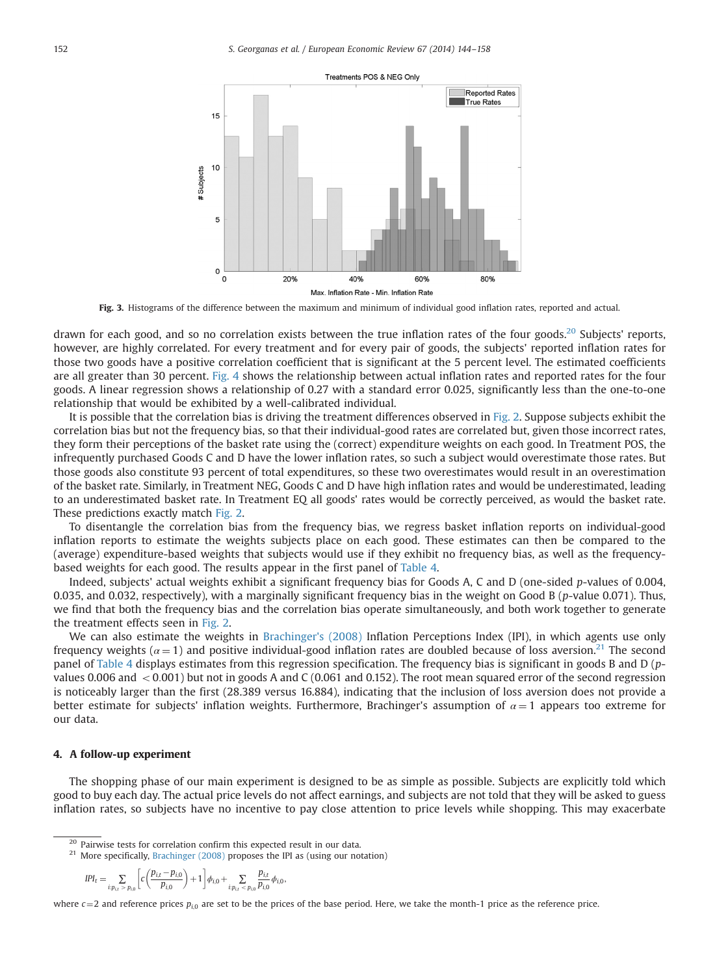<span id="page-8-0"></span>

Fig. 3. Histograms of the difference between the maximum and minimum of individual good inflation rates, reported and actual.

drawn for each good, and so no correlation exists between the true inflation rates of the four goods.<sup>20</sup> Subjects' reports, however, are highly correlated. For every treatment and for every pair of goods, the subjects' reported inflation rates for those two goods have a positive correlation coefficient that is significant at the 5 percent level. The estimated coefficients are all greater than 30 percent. [Fig. 4](#page-9-0) shows the relationship between actual inflation rates and reported rates for the four goods. A linear regression shows a relationship of 0.27 with a standard error 0.025, significantly less than the one-to-one relationship that would be exhibited by a well-calibrated individual.

It is possible that the correlation bias is driving the treatment differences observed in [Fig. 2.](#page-7-0) Suppose subjects exhibit the correlation bias but not the frequency bias, so that their individual-good rates are correlated but, given those incorrect rates, they form their perceptions of the basket rate using the (correct) expenditure weights on each good. In Treatment POS, the infrequently purchased Goods C and D have the lower inflation rates, so such a subject would overestimate those rates. But those goods also constitute 93 percent of total expenditures, so these two overestimates would result in an overestimation of the basket rate. Similarly, in Treatment NEG, Goods C and D have high inflation rates and would be underestimated, leading to an underestimated basket rate. In Treatment EQ all goods' rates would be correctly perceived, as would the basket rate. These predictions exactly match [Fig. 2](#page-7-0).

To disentangle the correlation bias from the frequency bias, we regress basket inflation reports on individual-good inflation reports to estimate the weights subjects place on each good. These estimates can then be compared to the (average) expenditure-based weights that subjects would use if they exhibit no frequency bias, as well as the frequencybased weights for each good. The results appear in the first panel of [Table 4.](#page-9-0)

Indeed, subjects' actual weights exhibit a significant frequency bias for Goods A, C and D (one-sided p-values of 0.004, 0.035, and 0.032, respectively), with a marginally significant frequency bias in the weight on Good B ( $p$ -value 0.071). Thus, we find that both the frequency bias and the correlation bias operate simultaneously, and both work together to generate the treatment effects seen in [Fig. 2](#page-7-0).

We can also estimate the weights in [Brachinger's \(2008\)](#page-13-0) Inflation Perceptions Index (IPI), in which agents use only frequency weights ( $\alpha = 1$ ) and positive individual-good inflation rates are doubled because of loss aversion.<sup>21</sup> The second panel of [Table 4](#page-9-0) displays estimates from this regression specification. The frequency bias is significant in goods B and D (pvalues 0.006 and  $\lt$  0.001) but not in goods A and C (0.061 and 0.152). The root mean squared error of the second regression is noticeably larger than the first (28.389 versus 16.884), indicating that the inclusion of loss aversion does not provide a better estimate for subjects' inflation weights. Furthermore, Brachinger's assumption of  $\alpha = 1$  appears too extreme for our data.

# 4. A follow-up experiment

The shopping phase of our main experiment is designed to be as simple as possible. Subjects are explicitly told which good to buy each day. The actual price levels do not affect earnings, and subjects are not told that they will be asked to guess inflation rates, so subjects have no incentive to pay close attention to price levels while shopping. This may exacerbate

<sup>21</sup> More specifically, [Brachinger \(2008\)](#page-13-0) proposes the IPI as (using our notation)

$$
IPI_t = \sum_{i:p_{i,t} > p_{i,0}} \left[ c \left( \frac{p_{i,t} - p_{i,0}}{p_{i,0}} \right) + 1 \right] \phi_{i,0} + \sum_{i:p_{i,t} > p_{i,0}} \frac{p_{i,t}}{p_{i,0}} \phi_{i,0},
$$

where  $c=2$  and reference prices  $p_{i,0}$  are set to be the prices of the base period. Here, we take the month-1 price as the reference price.

<sup>&</sup>lt;sup>20</sup> Pairwise tests for correlation confirm this expected result in our data.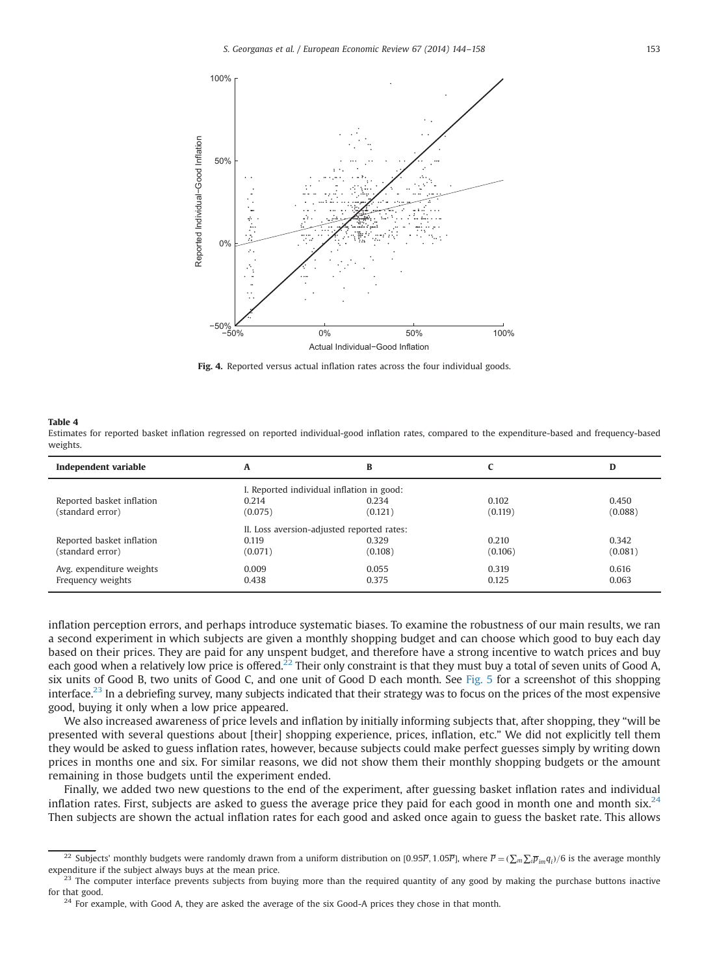<span id="page-9-0"></span>

Fig. 4. Reported versus actual inflation rates across the four individual goods.

#### Table 4

Estimates for reported basket inflation regressed on reported individual-good inflation rates, compared to the expenditure-based and frequency-based weights.

| Independent variable      | A                                          | в       |         | D       |
|---------------------------|--------------------------------------------|---------|---------|---------|
|                           | I. Reported individual inflation in good:  |         |         |         |
| Reported basket inflation | 0.214                                      | 0.234   | 0.102   | 0.450   |
| (standard error)          | (0.075)                                    | (0.121) | (0.119) | (0.088) |
|                           | II. Loss aversion-adjusted reported rates: |         |         |         |
| Reported basket inflation | 0.119                                      | 0.329   | 0.210   | 0.342   |
| (standard error)          | (0.071)                                    | (0.108) | (0.106) | (0.081) |
| Avg. expenditure weights  | 0.009                                      | 0.055   | 0.319   | 0.616   |
| Frequency weights         | 0.438                                      | 0.375   | 0.125   | 0.063   |

inflation perception errors, and perhaps introduce systematic biases. To examine the robustness of our main results, we ran a second experiment in which subjects are given a monthly shopping budget and can choose which good to buy each day based on their prices. They are paid for any unspent budget, and therefore have a strong incentive to watch prices and buy each good when a relatively low price is offered.<sup>22</sup> Their only constraint is that they must buy a total of seven units of Good A, six units of Good B, two units of Good C, and one unit of Good D each month. See [Fig. 5](#page-10-0) for a screenshot of this shopping interface.<sup>23</sup> In a debriefing survey, many subjects indicated that their strategy was to focus on the prices of the most expensive good, buying it only when a low price appeared.

We also increased awareness of price levels and inflation by initially informing subjects that, after shopping, they "will be presented with several questions about [their] shopping experience, prices, inflation, etc." We did not explicitly tell them they would be asked to guess inflation rates, however, because subjects could make perfect guesses simply by writing down prices in months one and six. For similar reasons, we did not show them their monthly shopping budgets or the amount remaining in those budgets until the experiment ended.

Finally, we added two new questions to the end of the experiment, after guessing basket inflation rates and individual inflation rates. First, subjects are asked to guess the average price they paid for each good in month one and month six. $^{24}$ Then subjects are shown the actual inflation rates for each good and asked once again to guess the basket rate. This allows

<sup>&</sup>lt;sup>22</sup> Subjects' monthly budgets were randomly drawn from a uniform distribution on [0.95P, 1.05P], where  $\overline{P} = (\sum_m \sum_i \overline{p}_m q_i)/6$  is the average monthly expenditure if the subject always buys at the mean price.

<sup>&</sup>lt;sup>23</sup> The computer interface prevents subjects from buying more than the required quantity of any good by making the purchase buttons inactive for that good.

<sup>&</sup>lt;sup>24</sup> For example, with Good A, they are asked the average of the six Good-A prices they chose in that month.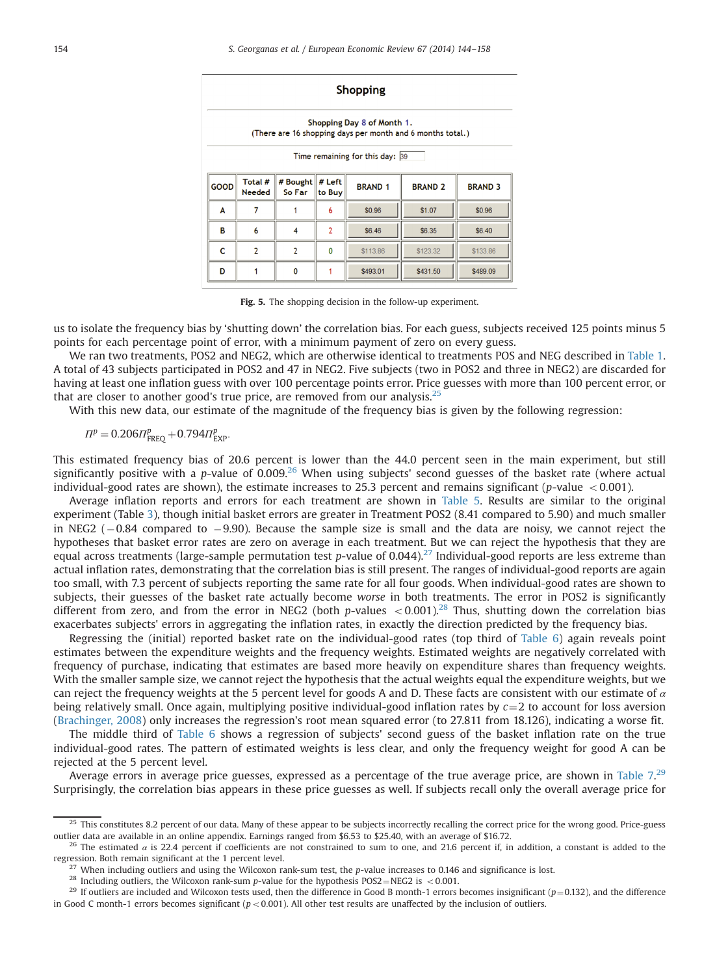<span id="page-10-0"></span>

|                                                                                                                                  | <b>Shopping</b>                                                                          |   |                |          |          |          |  |  |  |
|----------------------------------------------------------------------------------------------------------------------------------|------------------------------------------------------------------------------------------|---|----------------|----------|----------|----------|--|--|--|
|                                                                                                                                  | Shopping Day 8 of Month 1.<br>(There are 16 shopping days per month and 6 months total.) |   |                |          |          |          |  |  |  |
|                                                                                                                                  | Time remaining for this day: 39                                                          |   |                |          |          |          |  |  |  |
| Total #<br># Bought<br># Left<br><b>GOOD</b><br><b>BRAND 1</b><br><b>BRAND 3</b><br><b>BRAND 2</b><br>So Far<br>Needed<br>to Buy |                                                                                          |   |                |          |          |          |  |  |  |
| A                                                                                                                                |                                                                                          |   | 6              | \$0.96   | \$1.07   | \$0.96   |  |  |  |
| в                                                                                                                                | 6                                                                                        | 4 | $\overline{2}$ | \$6.46   | \$6.35   | \$6.40   |  |  |  |
|                                                                                                                                  | $\overline{2}$                                                                           | 2 | 0              | \$113.86 | \$123.32 | \$133.86 |  |  |  |
| C                                                                                                                                |                                                                                          |   |                |          |          |          |  |  |  |

Fig. 5. The shopping decision in the follow-up experiment.

us to isolate the frequency bias by 'shutting down' the correlation bias. For each guess, subjects received 125 points minus 5 points for each percentage point of error, with a minimum payment of zero on every guess.

We ran two treatments, POS2 and NEG2, which are otherwise identical to treatments POS and NEG described in [Table 1](#page-5-0). A total of 43 subjects participated in POS2 and 47 in NEG2. Five subjects (two in POS2 and three in NEG2) are discarded for having at least one inflation guess with over 100 percentage points error. Price guesses with more than 100 percent error, or that are closer to another good's true price, are removed from our analysis.<sup>25</sup>

With this new data, our estimate of the magnitude of the frequency bias is given by the following regression:

$$
\Pi^p = 0.206 \Pi_{\text{FREQ}}^p + 0.794 \Pi_{\text{EXP}}^p.
$$

This estimated frequency bias of 20.6 percent is lower than the 44.0 percent seen in the main experiment, but still significantly positive with a p-value of  $0.009<sup>26</sup>$  When using subjects' second guesses of the basket rate (where actual individual-good rates are shown), the estimate increases to 25.3 percent and remains significant (p-value  $< 0.001$ ).

Average inflation reports and errors for each treatment are shown in [Table 5.](#page-11-0) Results are similar to the original experiment (Table [3\)](#page-7-0), though initial basket errors are greater in Treatment POS2 (8.41 compared to 5.90) and much smaller in NEG2 (-0.84 compared to -9.90). Because the sample size is small and the data are noisy, we cannot reject the<br>bypotheses that basket error rates are zero on average in each treatment. But we can reject the bypothesis th hypotheses that basket error rates are zero on average in each treatment. But we can reject the hypothesis that they are equal across treatments (large-sample permutation test p-value of 0.044).<sup>27</sup> Individual-good reports are less extreme than actual inflation rates, demonstrating that the correlation bias is still present. The ranges of individual-good reports are again too small, with 7.3 percent of subjects reporting the same rate for all four goods. When individual-good rates are shown to subjects, their guesses of the basket rate actually become worse in both treatments. The error in POS2 is significantly different from zero, and from the error in NEG2 (both p-values  $< 0.001$ ).<sup>28</sup> Thus, shutting down the correlation bias exacerbates subjects' errors in aggregating the inflation rates, in exactly the direction predicted by the frequency bias.

Regressing the (initial) reported basket rate on the individual-good rates (top third of [Table 6\)](#page-11-0) again reveals point estimates between the expenditure weights and the frequency weights. Estimated weights are negatively correlated with frequency of purchase, indicating that estimates are based more heavily on expenditure shares than frequency weights. With the smaller sample size, we cannot reject the hypothesis that the actual weights equal the expenditure weights, but we can reject the frequency weights at the 5 percent level for goods A and D. These facts are consistent with our estimate of  $\alpha$ being relatively small. Once again, multiplying positive individual-good inflation rates by  $c=2$  to account for loss aversion ([Brachinger, 2008](#page-13-0)) only increases the regression's root mean squared error (to 27.811 from 18.126), indicating a worse fit.

The middle third of [Table 6](#page-11-0) shows a regression of subjects' second guess of the basket inflation rate on the true individual-good rates. The pattern of estimated weights is less clear, and only the frequency weight for good A can be rejected at the 5 percent level.

Average errors in average price guesses, expressed as a percentage of the true average price, are shown in [Table 7](#page-11-0).<sup>25</sup> Surprisingly, the correlation bias appears in these price guesses as well. If subjects recall only the overall average price for

<sup>&</sup>lt;sup>25</sup> This constitutes 8.2 percent of our data. Many of these appear to be subjects incorrectly recalling the correct price for the wrong good. Price-guess outlier data are available in an online appendix. Earnings ranged from \$6.53 to \$25.40, with an average of \$16.72.

<sup>&</sup>lt;sup>26</sup> The estimated  $\alpha$  is 22.4 percent if coefficients are not constrained to sum to one, and 21.6 percent if, in addition, a constant is added to the regression. Both remain significant at the 1 percent level.

<sup>&</sup>lt;sup>27</sup> When including outliers and using the Wilcoxon rank-sum test, the *p*-value increases to 0.146 and significance is lost.<br><sup>28</sup> Including outliers, the Wilcoxon rank-sum *p*-value for the hypothesis POS2=NEG2 is <0.001

<sup>&</sup>lt;sup>29</sup> If outliers are included and Wilcoxon tests used, then the difference in Good B month-1 errors becomes insignificant ( $p=0.132$ ), and the difference in Good C month-1 errors becomes significant ( $p < 0.001$ ). All other test results are unaffected by the inclusion of outliers.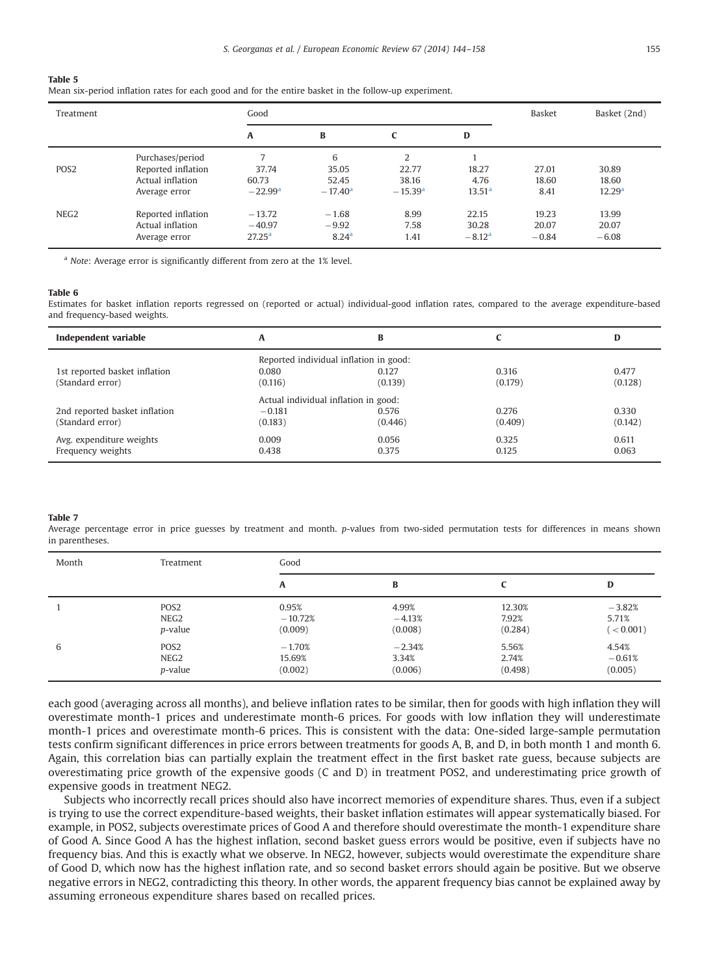#### <span id="page-11-0"></span>Table 5

Mean six-period inflation rates for each good and for the entire basket in the follow-up experiment.

| Treatment        |                                                                             | Good                                       |                                         |                                              |                                     | Basket                    | Basket (2nd)                         |
|------------------|-----------------------------------------------------------------------------|--------------------------------------------|-----------------------------------------|----------------------------------------------|-------------------------------------|---------------------------|--------------------------------------|
|                  |                                                                             | $\mathbf{A}$                               | B                                       | C                                            | D                                   |                           |                                      |
| POS <sub>2</sub> | Purchases/period<br>Reported inflation<br>Actual inflation<br>Average error | 7<br>37.74<br>60.73<br>$-22.99^{\rm a}$    | 6<br>35.05<br>52.45<br>$-17.40^{\circ}$ | 2<br>22.77<br>38.16<br>$-15.39$ <sup>a</sup> | 18.27<br>4.76<br>13.51 <sup>a</sup> | 27.01<br>18.60<br>8.41    | 30.89<br>18.60<br>12.29 <sup>a</sup> |
| NEG <sub>2</sub> | Reported inflation<br>Actual inflation<br>Average error                     | $-13.72$<br>$-40.97$<br>27.25 <sup>a</sup> | $-1.68$<br>$-9.92$<br>8.24 <sup>a</sup> | 8.99<br>7.58<br>1.41                         | 22.15<br>30.28<br>$-8.12a$          | 19.23<br>20.07<br>$-0.84$ | 13.99<br>20.07<br>$-6.08$            |

<sup>a</sup> Note: Average error is significantly different from zero at the 1% level.

#### Table 6

Estimates for basket inflation reports regressed on (reported or actual) individual-good inflation rates, compared to the average expenditure-based and frequency-based weights.

| Independent variable                          | A                                      | В              |                | D              |
|-----------------------------------------------|----------------------------------------|----------------|----------------|----------------|
|                                               | Reported individual inflation in good: |                |                |                |
| 1st reported basket inflation                 | 0.080                                  | 0.127          | 0.316          | 0.477          |
| (Standard error)                              | (0.116)                                | (0.139)        | (0.179)        | (0.128)        |
|                                               | Actual individual inflation in good:   |                |                |                |
| 2nd reported basket inflation                 | $-0.181$                               | 0.576          | 0.276          | 0.330          |
| (Standard error)                              | (0.183)                                | (0.446)        | (0.409)        | (0.142)        |
| Avg. expenditure weights<br>Frequency weights | 0.009<br>0.438                         | 0.056<br>0.375 | 0.325<br>0.125 | 0.611<br>0.063 |
|                                               |                                        |                |                |                |

#### Table 7

Average percentage error in price guesses by treatment and month. p-values from two-sided permutation tests for differences in means shown in parentheses.

| Month | Treatment        | Good      |          |         |            |  |
|-------|------------------|-----------|----------|---------|------------|--|
|       |                  | A         | В        |         | D          |  |
|       | POS <sub>2</sub> | 0.95%     | 4.99%    | 12.30%  | $-3.82%$   |  |
|       | NEG <sub>2</sub> | $-10.72%$ | $-4.13%$ | 7.92%   | 5.71%      |  |
|       | $p$ -value       | (0.009)   | (0.008)  | (0.284) | ( < 0.001) |  |
| 6     | POS <sub>2</sub> | $-1.70%$  | $-2.34%$ | 5.56%   | 4.54%      |  |
|       | NEG <sub>2</sub> | 15.69%    | 3.34%    | 2.74%   | $-0.61%$   |  |
|       | <i>p</i> -value  | (0.002)   | (0.006)  | (0.498) | (0.005)    |  |

each good (averaging across all months), and believe inflation rates to be similar, then for goods with high inflation they will overestimate month-1 prices and underestimate month-6 prices. For goods with low inflation they will underestimate month-1 prices and overestimate month-6 prices. This is consistent with the data: One-sided large-sample permutation tests confirm significant differences in price errors between treatments for goods A, B, and D, in both month 1 and month 6. Again, this correlation bias can partially explain the treatment effect in the first basket rate guess, because subjects are overestimating price growth of the expensive goods (C and D) in treatment POS2, and underestimating price growth of expensive goods in treatment NEG2.

Subjects who incorrectly recall prices should also have incorrect memories of expenditure shares. Thus, even if a subject is trying to use the correct expenditure-based weights, their basket inflation estimates will appear systematically biased. For example, in POS2, subjects overestimate prices of Good A and therefore should overestimate the month-1 expenditure share of Good A. Since Good A has the highest inflation, second basket guess errors would be positive, even if subjects have no frequency bias. And this is exactly what we observe. In NEG2, however, subjects would overestimate the expenditure share of Good D, which now has the highest inflation rate, and so second basket errors should again be positive. But we observe negative errors in NEG2, contradicting this theory. In other words, the apparent frequency bias cannot be explained away by assuming erroneous expenditure shares based on recalled prices.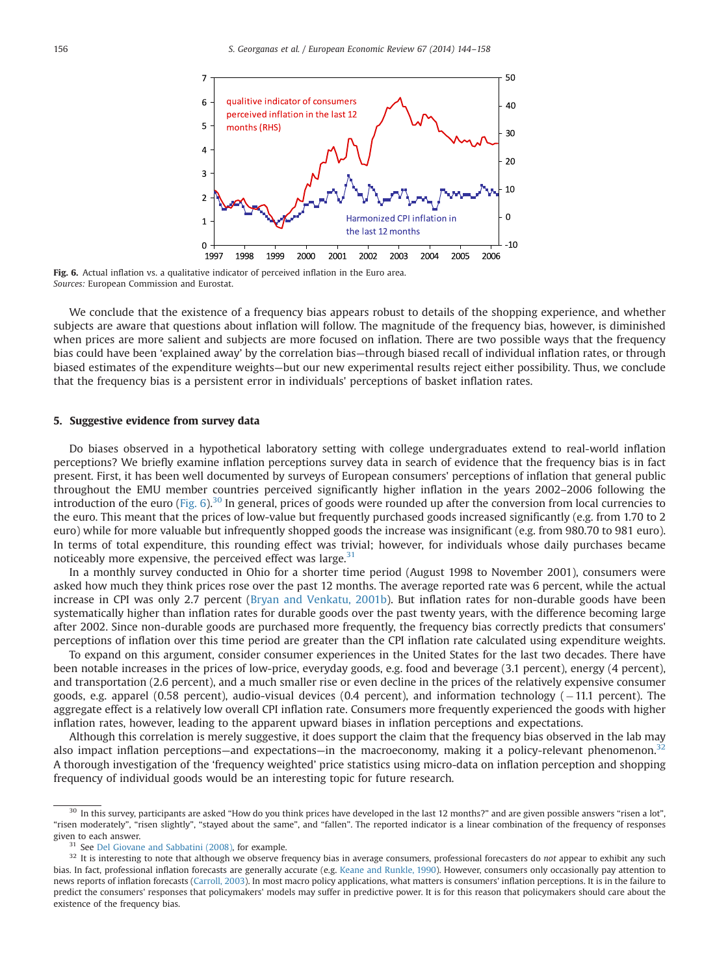<span id="page-12-0"></span>

Fig. 6. Actual inflation vs. a qualitative indicator of perceived inflation in the Euro area. Sources: European Commission and Eurostat.

We conclude that the existence of a frequency bias appears robust to details of the shopping experience, and whether subjects are aware that questions about inflation will follow. The magnitude of the frequency bias, however, is diminished when prices are more salient and subjects are more focused on inflation. There are two possible ways that the frequency bias could have been 'explained away' by the correlation bias—through biased recall of individual inflation rates, or through biased estimates of the expenditure weights—but our new experimental results reject either possibility. Thus, we conclude that the frequency bias is a persistent error in individuals' perceptions of basket inflation rates.

## 5. Suggestive evidence from survey data

Do biases observed in a hypothetical laboratory setting with college undergraduates extend to real-world inflation perceptions? We briefly examine inflation perceptions survey data in search of evidence that the frequency bias is in fact present. First, it has been well documented by surveys of European consumers' perceptions of inflation that general public throughout the EMU member countries perceived significantly higher inflation in the years 2002–2006 following the introduction of the euro (Fig. 6).<sup>30</sup> In general, prices of goods were rounded up after the conversion from local currencies to the euro. This meant that the prices of low-value but frequently purchased goods increased significantly (e.g. from 1.70 to 2 euro) while for more valuable but infrequently shopped goods the increase was insignificant (e.g. from 980.70 to 981 euro). In terms of total expenditure, this rounding effect was trivial; however, for individuals whose daily purchases became noticeably more expensive, the perceived effect was large. $31$ 

In a monthly survey conducted in Ohio for a shorter time period (August 1998 to November 2001), consumers were asked how much they think prices rose over the past 12 months. The average reported rate was 6 percent, while the actual increase in CPI was only 2.7 percent ([Bryan and Venkatu, 2001b\)](#page-13-0). But inflation rates for non-durable goods have been systematically higher than inflation rates for durable goods over the past twenty years, with the difference becoming large after 2002. Since non-durable goods are purchased more frequently, the frequency bias correctly predicts that consumers' perceptions of inflation over this time period are greater than the CPI inflation rate calculated using expenditure weights.

To expand on this argument, consider consumer experiences in the United States for the last two decades. There have been notable increases in the prices of low-price, everyday goods, e.g. food and beverage (3.1 percent), energy (4 percent), and transportation (2.6 percent), and a much smaller rise or even decline in the prices of the relatively expensive consumer goods, e.g. apparel (0.58 percent), audio-visual devices (0.4 percent), and information technology (-11.1 percent). The aggregate effect is a relatively low overall CPI inflation rate. Consumers more frequently experienced the goods with higher inflation rates, however, leading to the apparent upward biases in inflation perceptions and expectations.

Although this correlation is merely suggestive, it does support the claim that the frequency bias observed in the lab may also impact inflation perceptions—and expectations—in the macroeconomy, making it a policy-relevant phenomenon.<sup>32</sup> A thorough investigation of the 'frequency weighted' price statistics using micro-data on inflation perception and shopping frequency of individual goods would be an interesting topic for future research.

 $30\,$  In this survey, participants are asked "How do you think prices have developed in the last 12 months?" and are given possible answers "risen a lot", "risen moderately", "risen slightly", "stayed about the same", and "fallen". The reported indicator is a linear combination of the frequency of responses given to each answer.

<sup>&</sup>lt;sup>31</sup> See [Del Giovane and Sabbatini \(2008\),](#page-13-0) for example.

 $32$  It is interesting to note that although we observe frequency bias in average consumers, professional forecasters do not appear to exhibit any such bias. In fact, professional inflation forecasts are generally accurate (e.g. [Keane and Runkle, 1990](#page-14-0)). However, consumers only occasionally pay attention to news reports of inflation forecasts ([Carroll, 2003\)](#page-13-0). In most macro policy applications, what matters is consumers' inflation perceptions. It is in the failure to predict the consumers' responses that policymakers' models may suffer in predictive power. It is for this reason that policymakers should care about the existence of the frequency bias.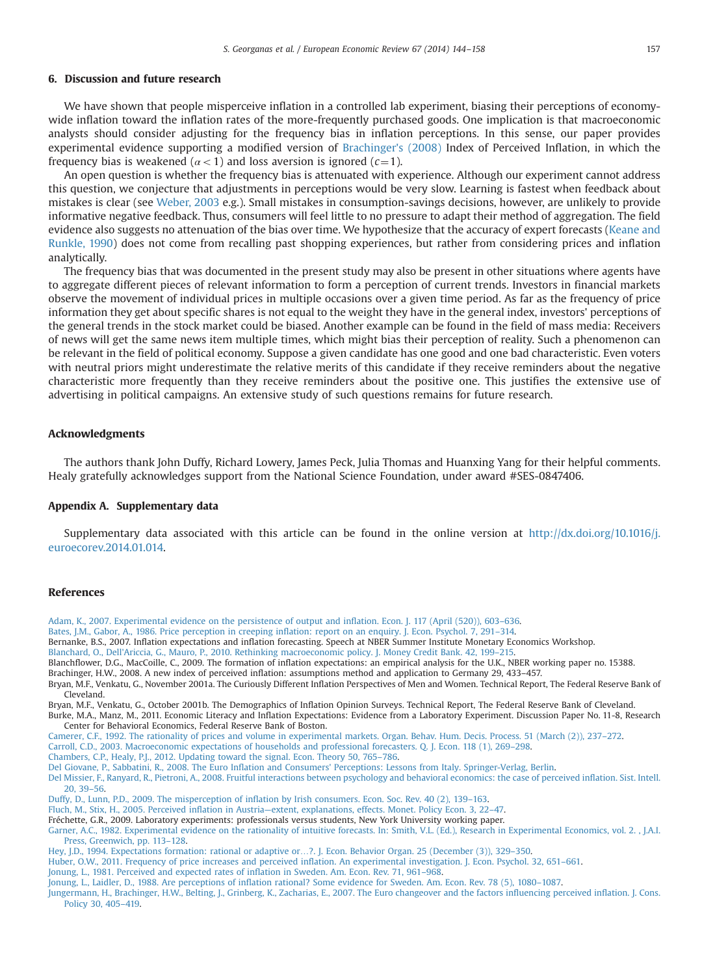#### <span id="page-13-0"></span>6. Discussion and future research

We have shown that people misperceive inflation in a controlled lab experiment, biasing their perceptions of economywide inflation toward the inflation rates of the more-frequently purchased goods. One implication is that macroeconomic analysts should consider adjusting for the frequency bias in inflation perceptions. In this sense, our paper provides experimental evidence supporting a modified version of Brachinger's (2008) Index of Perceived Inflation, in which the frequency bias is weakened ( $\alpha$  < 1) and loss aversion is ignored ( $c=1$ ).

An open question is whether the frequency bias is attenuated with experience. Although our experiment cannot address this question, we conjecture that adjustments in perceptions would be very slow. Learning is fastest when feedback about mistakes is clear (see [Weber, 2003](#page-14-0) e.g.). Small mistakes in consumption-savings decisions, however, are unlikely to provide informative negative feedback. Thus, consumers will feel little to no pressure to adapt their method of aggregation. The field evidence also suggests no attenuation of the bias over time. We hypothesize that the accuracy of expert forecasts ([Keane and](#page-14-0) [Runkle, 1990](#page-14-0)) does not come from recalling past shopping experiences, but rather from considering prices and inflation analytically.

The frequency bias that was documented in the present study may also be present in other situations where agents have to aggregate different pieces of relevant information to form a perception of current trends. Investors in financial markets observe the movement of individual prices in multiple occasions over a given time period. As far as the frequency of price information they get about specific shares is not equal to the weight they have in the general index, investors' perceptions of the general trends in the stock market could be biased. Another example can be found in the field of mass media: Receivers of news will get the same news item multiple times, which might bias their perception of reality. Such a phenomenon can be relevant in the field of political economy. Suppose a given candidate has one good and one bad characteristic. Even voters with neutral priors might underestimate the relative merits of this candidate if they receive reminders about the negative characteristic more frequently than they receive reminders about the positive one. This justifies the extensive use of advertising in political campaigns. An extensive study of such questions remains for future research.

#### Acknowledgments

The authors thank John Duffy, Richard Lowery, James Peck, Julia Thomas and Huanxing Yang for their helpful comments. Healy gratefully acknowledges support from the National Science Foundation, under award #SES-0847406.

## Appendix A. Supplementary data

Supplementary data associated with this article can be found in the online version at [http://dx.doi.org/10.1016/j.](http://dx.doi.org/10.1016/j.euroecorev.2014.01.014) [euroecorev.2014.01.014](http://dx.doi.org/10.1016/j.euroecorev.2014.01.014).

## References

- [Adam, K., 2007. Experimental evidence on the persistence of output and inflation. Econ. J. 117 \(April \(520\)\), 603](http://refhub.elsevier.com/S0014-2921(14)00022-1/sbref1)–636.
- [Bates, J.M., Gabor, A., 1986. Price perception in creeping inflation: report on an enquiry. J. Econ. Psychol. 7, 291](http://refhub.elsevier.com/S0014-2921(14)00022-1/sbref2)–314.
- Bernanke, B.S., 2007. Inflation expectations and inflation forecasting. Speech at NBER Summer Institute Monetary Economics Workshop.
- [Blanchard, O., Dell'Ariccia, G., Mauro, P., 2010. Rethinking macroeconomic policy. J. Money Credit Bank. 42, 199](http://refhub.elsevier.com/S0014-2921(14)00022-1/sbref4)–215.

Blanchflower, D.G., MacCoille, C., 2009. The formation of inflation expectations: an empirical analysis for the U.K., NBER working paper no. 15388.

- Brachinger, H.W., 2008. A new index of perceived inflation: assumptions method and application to Germany 29, 433–457.
- Bryan, M.F., Venkatu, G., November 2001a. The Curiously Different Inflation Perspectives of Men and Women. Technical Report, The Federal Reserve Bank of Cleveland.

Bryan, M.F., Venkatu, G., October 2001b. The Demographics of Inflation Opinion Surveys. Technical Report, The Federal Reserve Bank of Cleveland.

Burke, M.A., Manz, M., 2011. Economic Literacy and Inflation Expectations: Evidence from a Laboratory Experiment. Discussion Paper No. 11-8, Research Center for Behavioral Economics, Federal Reserve Bank of Boston.

[Camerer, C.F., 1992. The rationality of prices and volume in experimental markets. Organ. Behav. Hum. Decis. Process. 51 \(March \(2\)\), 237](http://refhub.elsevier.com/S0014-2921(14)00022-1/sbref10)–272.

[Carroll, C.D., 2003. Macroeconomic expectations of households and professional forecasters. Q. J. Econ. 118 \(1\), 269](http://refhub.elsevier.com/S0014-2921(14)00022-1/sbref11)–298.

[Chambers, C.P., Healy, P.J., 2012. Updating toward the signal. Econ. Theory 50, 765](http://refhub.elsevier.com/S0014-2921(14)00022-1/sbref12)–786.

[Del Giovane, P., Sabbatini, R., 2008. The Euro Inflation and Consumers' Perceptions: Lessons from Italy. Springer-Verlag, Berlin.](http://refhub.elsevier.com/S0014-2921(14)00022-1/sbref13)

- [Del Missier, F., Ranyard, R., Pietroni, A., 2008. Fruitful interactions between psychology and behavioral economics: the case of perceived inflation. Sist. Intell.](http://refhub.elsevier.com/S0014-2921(14)00022-1/sbref14) [20, 39](http://refhub.elsevier.com/S0014-2921(14)00022-1/sbref14)–56.
- [Duffy, D., Lunn, P.D., 2009. The misperception of inflation by Irish consumers. Econ. Soc. Rev. 40 \(2\), 139](http://refhub.elsevier.com/S0014-2921(14)00022-1/sbref15)–163.

Fluch, M., Stix, H., 2005. Perceived inflation in Austria—[extent, explanations, effects. Monet. Policy Econ. 3, 22](http://refhub.elsevier.com/S0014-2921(14)00022-1/sbref16)–47.

Fréchette, G.R., 2009. Laboratory experiments: professionals versus students, New York University working paper.

[Garner, A.C., 1982. Experimental evidence on the rationality of intuitive forecasts. In: Smith, V.L. \(Ed.\), Research in Experimental Economics, vol. 2. , J.A.I.](http://refhub.elsevier.com/S0014-2921(14)00022-1/sbref18) [Press, Greenwich, pp. 113](http://refhub.elsevier.com/S0014-2921(14)00022-1/sbref18)–128.

- [Hey, J.D., 1994. Expectations formation: rational or adaptive or](http://refhub.elsevier.com/S0014-2921(14)00022-1/sbref19)…?. J. Econ. Behavior Organ. 25 (December (3)), 329–350.
- [Huber, O.W., 2011. Frequency of price increases and perceived inflation. An experimental investigation. J. Econ. Psychol. 32, 651](http://refhub.elsevier.com/S0014-2921(14)00022-1/sbref20)–661.

[Jonung, L., 1981. Perceived and expected rates of inflation in Sweden. Am. Econ. Rev. 71, 961](http://refhub.elsevier.com/S0014-2921(14)00022-1/sbref21)–968.

[Jonung, L., Laidler, D., 1988. Are perceptions of inflation rational? Some evidence for Sweden. Am. Econ. Rev. 78 \(5\), 1080](http://refhub.elsevier.com/S0014-2921(14)00022-1/sbref22)–1087.

[Jungermann, H., Brachinger, H.W., Belting, J., Grinberg, K., Zacharias, E., 2007. The Euro changeover and the factors influencing perceived inflation. J. Cons.](http://refhub.elsevier.com/S0014-2921(14)00022-1/sbref23) [Policy 30, 405](http://refhub.elsevier.com/S0014-2921(14)00022-1/sbref23)–419.